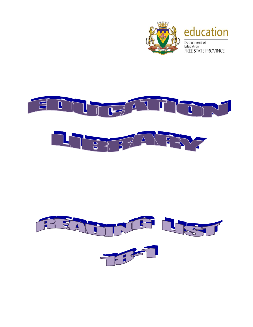



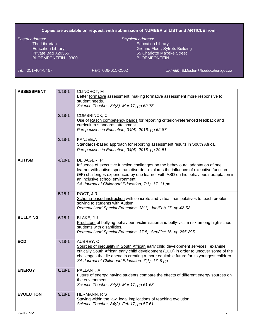## **Copies are available on request, with submission of NUMBER of LIST and ARTICLE from:**

*Postal address*: *Physical address*: The Librarian **Education Library**<br>
Education Library<br>
Education Library<br>
Education Library BLOEMFONTEIN 9300

Ground Floor, Syfrets Building Private Bag X20565 65 Charlotte Maxeke Street<br>BLOEMFONTEIN 9300 65 Charlotte Maxeke Street

*Tel*: 051-404-8467 *Fax*: 086-615-2502 *E-mail*: [E.Mostert@fseducation.gov.za](mailto:E.Mostert@fseducation.gov.za)

| $2/18 - 1$<br>COMBRINCK, C<br>Use of Rasch competency bands for reporting criterion-referenced feedback and<br>curriculum-standards attainment.                                                                                                                                                                                                                                                        |   |
|--------------------------------------------------------------------------------------------------------------------------------------------------------------------------------------------------------------------------------------------------------------------------------------------------------------------------------------------------------------------------------------------------------|---|
| Perspectives in Education, 34(4). 2016, pp 62-87                                                                                                                                                                                                                                                                                                                                                       |   |
| $3/18 - 1$<br>KANJEE, A<br>Standards-based approach for reporting assessment results in South Africa.<br>Perspectives in Education, 34(4). 2016, pp 29-51                                                                                                                                                                                                                                              |   |
| <b>AUTISM</b><br>DE JAGER, P<br>$4/18 - 1$<br>Influence of executive function challenges on the behavioural adaptation of one<br>learner with autism spectrum disorder: explores the influence of executive function<br>(EF) challenges experienced by one learner with ASD on his behavioural adaptation in<br>an inclusive school environment.<br>SA Journal of Childhood Education, 7(1), 17, 11 pp |   |
| ROOT, JR<br>$5/18 - 1$<br>Schema-based instruction with concrete and virtual manipulatives to teach problem<br>solving to students with Autism.<br>Remedial and Special Education, 38(1), Jan/Feb 17, pp 42-52                                                                                                                                                                                         |   |
| $6/18 - 1$<br>BLAKE, J J<br><b>BULLYING</b><br>Predictors of bullying behaviour, victimisation and bully-victim risk among high school<br>students with disabilities.<br>Remedial and Special Education, 37(5), Sep/Oct 16, pp 285-295                                                                                                                                                                 |   |
| $7/18 - 1$<br>AUBREY, C<br><b>ECD</b><br>Sources of inequality in South African early child development services: examine<br>critically South African early child development (ECD) in order to uncover some of the<br>challenges that lie ahead in creating a more equitable future for its youngest children.<br>SA Journal of Childhood Education, 7(1), 17, 9 pp                                   |   |
| $8/18 - 1$<br>PALLANT, A<br><b>ENERGY</b><br>Future of energy: having students compare the effects of different energy sources on<br>the environment.<br>Science Teacher, 84(3), Mar 17, pp 61-68                                                                                                                                                                                                      |   |
| HERMANN, R S<br><b>EVOLUTION</b><br>$9/18 - 1$<br>Staying within the law: legal implications of teaching evolution.<br>Science Teacher, 84(2), Feb 17, pp 57-61<br>ReadList 18-1                                                                                                                                                                                                                       | 2 |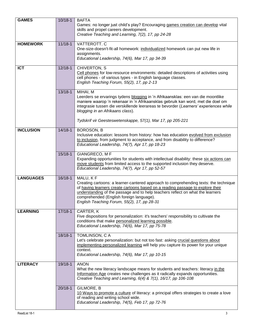| <b>GAMES</b>     | $10/18 - 1$ | <b>BAFTA</b><br>Games: no longer just child's play? Encouraging games creation can develop vital<br>skills and propel careers development.                                                                                                                                                                                                                      |
|------------------|-------------|-----------------------------------------------------------------------------------------------------------------------------------------------------------------------------------------------------------------------------------------------------------------------------------------------------------------------------------------------------------------|
|                  |             | Creative Teaching and Learning, 7(2), 17, pp 24-28                                                                                                                                                                                                                                                                                                              |
| <b>HOMEWORK</b>  | $11/18 - 1$ | VATTEROTT. C<br>One-size-doesn't-fit-all homework: individualized homework can put new life in<br>assignments.<br>Educational Leadership, 74(6), Mar 17, pp 34-39                                                                                                                                                                                               |
| <b>ICT</b>       | $12/18-1$   | CHIVERTON, S<br>Cell phones for low-resource environments: detailed descriptions of activities using<br>cell phones - of various types - in English language classes.<br>English Teaching Forum, 55(2), 17, pp 2-13                                                                                                                                             |
|                  | $13/18 - 1$ | MIHAI, M<br>Leerders se ervarings tydens blogging in 'n Afrikaansklas: een van die moontlike<br>maniere waarop 'n rekenaar in 'n Afrikaansklas gebruik kan word, met die doel om<br>integrasie tussen die verskillende leerareas te bevorder (Learners' experiences while<br>blogging in an Afrikaans class).                                                   |
|                  |             | Tydskrif vir Geesteswetenskappe, 57(1), Mar 17, pp 205-221                                                                                                                                                                                                                                                                                                      |
| <b>INCLUSION</b> | $14/18 - 1$ | BOROSON, B<br>Inclusive education: lessons from history: how has education evolved from exclusion<br>to inclusion, from judgment to acceptance, and from disability to difference?<br>Educational Leadership, 74(7), Apr 17, pp 18-23                                                                                                                           |
|                  | $15/18 - 1$ | GIANGRECO, M F<br>Expanding opportunities for students with intellectual disability: these six actions can<br>move students from limited access to the supported inclusion they deserve.<br>Educational Leadership, 74(7), Apr 17, pp 52-57                                                                                                                     |
| <b>LANGUAGES</b> | $16/18 - 1$ | MALU, KF<br>Creating cartoons: a learner-cantered approach to comprehending texts: the technique<br>of having learners create cartoons based on a reading passage to explore their<br>understanding of the passage and to help teachers reflect on what the learners<br>comprehended (English foreign language).<br>English Teaching Forum, 55(2), 17, pp 28-31 |
| <b>LEARNING</b>  | $17/18-1$   | CARTER, K<br>Five dispositions for personalization: it's teachers' responsibility to cultivate the<br>conditions that make personalized learning possible.<br>Educational Leadership, 74(6), Mar 17, pp 75-78                                                                                                                                                   |
|                  | 18/18-1     | TOMLINSON, C A<br>Let's celebrate personalization: but not too fast: asking crucial questions about<br>implementing personalized learning will help you capture its power for your unique<br>context.<br>Educational Leadership, 74(6), Mar 17, pp 10-15                                                                                                        |
| <b>LITERACY</b>  | 19/18-1     | <b>ANON</b><br>What the new literacy landscape means for students and teachers: literacy in the<br>Information Age creates new challenges as it radically expands opportunities.<br>Creative Teaching and Learning, 6(4) & 7(1), 16/17, pp 106-108                                                                                                              |
|                  | $20/18 - 1$ | GILMORE, B<br>10 Ways to promote a culture of literacy: a principal offers strategies to create a love<br>of reading and writing school wide.<br>Educational Leadership, 74(5), Feb 17, pp 72-76                                                                                                                                                                |